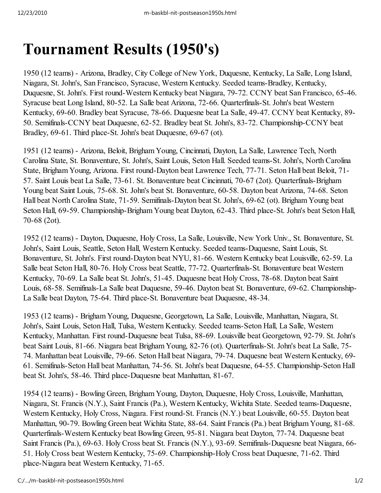## **Tournament Results (1950's)**

1950 (12 teams) - Arizona, Bradley, City College of New York, Duquesne, Kentucky, La Salle, Long Island, Niagara, St. John's, San Francisco, Syracuse, Western Kentucky. Seeded teams-Bradley, Kentucky, Duquesne, St. John's. First round-Western Kentucky beat Niagara, 79-72. CCNY beat San Francisco, 65-46. Syracuse beat Long Island, 80-52. La Salle beat Arizona, 72-66. Quarterfinals-St. John's beat Western Kentucky, 69-60. Bradley beat Syracuse, 78-66. Duquesne beat La Salle, 49-47. CCNY beat Kentucky, 89- 50. Semifinals-CCNY beat Duquesne, 62-52. Bradley beat St. John's, 83-72. Championship-CCNY beat Bradley, 69-61. Third place-St. John's beat Duquesne, 69-67 (ot).

1951 (12 teams) - Arizona, Beloit, Brigham Young, Cincinnati, Dayton, La Salle, Lawrence Tech, North Carolina State, St. Bonaventure, St. John's, Saint Louis, Seton Hall. Seeded teams-St. John's, North Carolina State, Brigham Young, Arizona. First round-Dayton beat Lawrence Tech, 77-71. Seton Hall beat Beloit, 71- 57. Saint Louis beat La Salle, 73-61. St. Bonaventure beat Cincinnati, 70-67 (2ot). Quarterfinals-Brigham Young beat Saint Louis, 75-68. St. John's beat St. Bonaventure, 60-58. Dayton beat Arizona, 74-68. Seton Hall beat North Carolina State, 71-59. Semifinals-Dayton beat St. John's, 69-62 (ot). Brigham Young beat Seton Hall, 69-59. Championship-Brigham Young beat Dayton, 62-43. Third place-St. John's beat Seton Hall, 70-68 (2ot).

1952 (12 teams) - Dayton, Duquesne, Holy Cross, La Salle, Louisville, New York Univ., St. Bonaventure, St. John's, Saint Louis, Seattle, Seton Hall, Western Kentucky. Seeded teams-Duquesne, Saint Louis, St. Bonaventure, St. John's. First round-Dayton beat NYU, 81-66. Western Kentucky beat Louisville, 62-59. La Salle beat Seton Hall, 80-76. Holy Cross beat Seattle, 77-72. Quarterfinals-St. Bonaventure beat Western Kentucky, 70-69. La Salle beat St. John's, 51-45. Duquesne beat Holy Cross, 78-68. Dayton beat Saint Louis, 68-58. Semifinals-La Salle beat Duquesne, 59-46. Dayton beat St. Bonaventure, 69-62. Championship-La Salle beat Dayton, 75-64. Third place-St. Bonaventure beat Duquesne, 48-34.

1953 (12 teams) - Brigham Young, Duquesne, Georgetown, La Salle, Louisville, Manhattan, Niagara, St. John's, Saint Louis, Seton Hall, Tulsa, Western Kentucky. Seeded teams-Seton Hall, La Salle, Western Kentucky, Manhattan. First round-Duquesne beat Tulsa, 88-69. Louisville beat Georgetown, 92-79. St. John's beat Saint Louis, 81-66. Niagara beat Brigham Young, 82-76 (ot). Quarterfinals-St. John's beat La Salle, 75- 74. Manhattan beat Louisville, 79-66. Seton Hall beat Niagara, 79-74. Duquesne beat Western Kentucky, 69- 61. Semifinals-Seton Hall beat Manhattan, 74-56. St. John's beat Duquesne, 64-55. Championship-Seton Hall beat St. John's, 58-46. Third place-Duquesne beat Manhattan, 81-67.

1954 (12 teams) - Bowling Green, Brigham Young, Dayton, Duquesne, Holy Cross, Louisville, Manhattan, Niagara, St. Francis (N.Y.), Saint Francis (Pa.), Western Kentucky, Wichita State. Seeded teams-Duquesne, Western Kentucky, Holy Cross, Niagara. First round-St. Francis (N.Y.) beat Louisville, 60-55. Dayton beat Manhattan, 90-79. Bowling Green beat Wichita State, 88-64. Saint Francis (Pa.) beat Brigham Young, 81-68. Quarterfinals-Western Kentucky beat Bowling Green, 95-81. Niagara beat Dayton, 77-74. Duquesne beat Saint Francis (Pa.), 69-63. Holy Cross beat St. Francis (N.Y.), 93-69. Semifinals-Duquesne beat Niagara, 66- 51. Holy Cross beat Western Kentucky, 75-69. Championship-Holy Cross beat Duquesne, 71-62. Third place-Niagara beat Western Kentucky, 71-65.